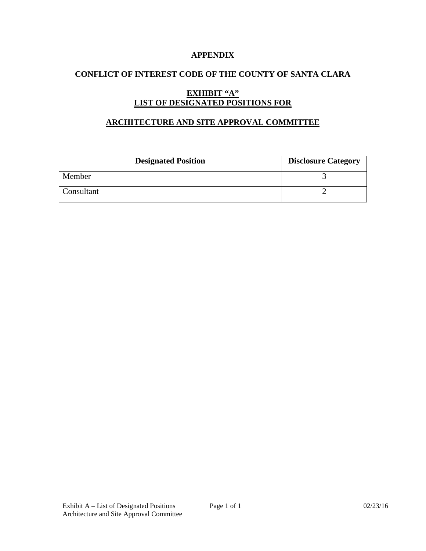## **APPENDIX**

# **CONFLICT OF INTEREST CODE OF THE COUNTY OF SANTA CLARA**

# **EXHIBIT "A" LIST OF DESIGNATED POSITIONS FOR**

## **ARCHITECTURE AND SITE APPROVAL COMMITTEE**

| <b>Designated Position</b> | <b>Disclosure Category</b> |
|----------------------------|----------------------------|
| Member                     |                            |
| Consultant                 |                            |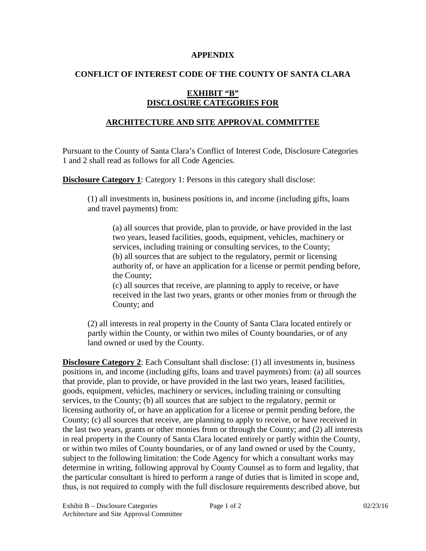### **APPENDIX**

# **CONFLICT OF INTEREST CODE OF THE COUNTY OF SANTA CLARA**

# **EXHIBIT "B" DISCLOSURE CATEGORIES FOR**

# **ARCHITECTURE AND SITE APPROVAL COMMITTEE**

Pursuant to the County of Santa Clara's Conflict of Interest Code, Disclosure Categories 1 and 2 shall read as follows for all Code Agencies.

**Disclosure Category 1:** Category 1: Persons in this category shall disclose:

(1) all investments in, business positions in, and income (including gifts, loans and travel payments) from:

(a) all sources that provide, plan to provide, or have provided in the last two years, leased facilities, goods, equipment, vehicles, machinery or services, including training or consulting services, to the County; (b) all sources that are subject to the regulatory, permit or licensing authority of, or have an application for a license or permit pending before, the County;

(c) all sources that receive, are planning to apply to receive, or have received in the last two years, grants or other monies from or through the County; and

(2) all interests in real property in the County of Santa Clara located entirely or partly within the County, or within two miles of County boundaries, or of any land owned or used by the County.

**Disclosure Category 2**: Each Consultant shall disclose: (1) all investments in, business positions in, and income (including gifts, loans and travel payments) from: (a) all sources that provide, plan to provide, or have provided in the last two years, leased facilities, goods, equipment, vehicles, machinery or services, including training or consulting services, to the County; (b) all sources that are subject to the regulatory, permit or licensing authority of, or have an application for a license or permit pending before, the County; (c) all sources that receive, are planning to apply to receive, or have received in the last two years, grants or other monies from or through the County; and (2) all interests in real property in the County of Santa Clara located entirely or partly within the County, or within two miles of County boundaries, or of any land owned or used by the County, subject to the following limitation: the Code Agency for which a consultant works may determine in writing, following approval by County Counsel as to form and legality, that the particular consultant is hired to perform a range of duties that is limited in scope and, thus, is not required to comply with the full disclosure requirements described above, but